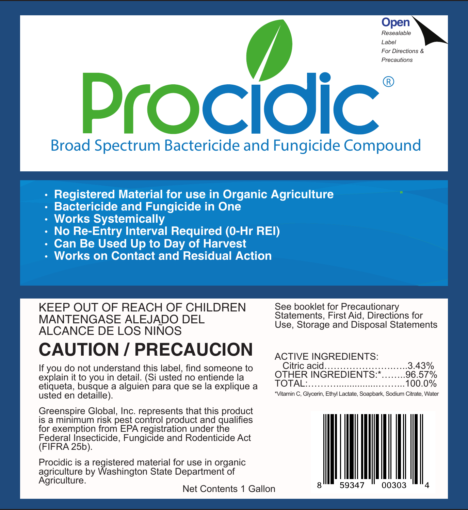

- **Registered Material for use in Organic Agriculture**
- **Bactericide and Fungicide in One**
- **Works Systemically**
- **No Re-Entry Interval Required (0-Hr REI)**
- **Can Be Used Up to Day of Harvest**
- **Works on Contact and Residual Action**

KEEP OUT OF REACH OF CHILDREN MANTENGASE ALEJADO DEL ALCANCE DE LOS NIÑOS

# **CAUTION / PRECAUCION**

If you do not understand this label, find someone to explain it to you in detail. (Si usted no entiende la etiqueta, busque a alguien para que se la explique a usted en detaille).

Greenspire Global, Inc. represents that this product is a minimum risk pest control product and qualifies for exemption from EPA registration under the Federal Insecticide, Fungicide and Rodenticide Act (FIFRA 25b).

Procidic is a registered material for use in organic agriculture by Washington State Department of Agriculture.

See booklet for Precautionary Statements, First Aid, Directions for Use, Storage and Disposal Statements

#### ACTIVE INGREDIENTS:

| Citric acid3.43%                                                                                                                                         |  |
|----------------------------------------------------------------------------------------------------------------------------------------------------------|--|
| OTHER INGREDIENTS: *96.57%                                                                                                                               |  |
|                                                                                                                                                          |  |
| $\mathcal{L}$ . The set of $\mathcal{L}$ is the set of $\mathcal{L}$ is the set of $\mathcal{L}$ is the set of $\mathcal{L}$ is the set of $\mathcal{L}$ |  |

Vitamin C, Glycerin, Ethyl Lactate, Soapbark, Sodium Citrate, Wa



Net Contents 1 Gallon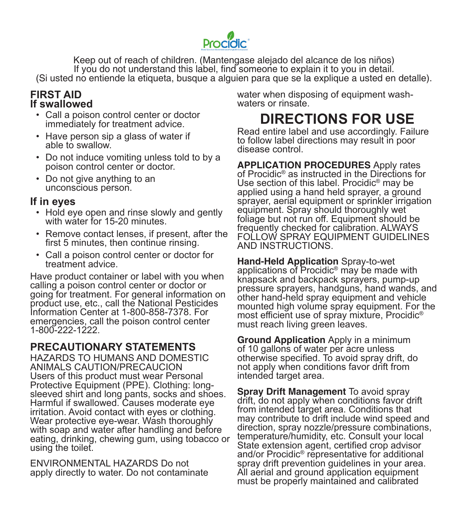

Keep out of reach of children. (Mantengase alejado del alcance de los niños) If you do not understand this label, find someone to explain it to you in detail. (Si usted no entiende la etiqueta, busque a alguien para que se la explique a usted en detalle).

#### **FIRST AID If swallowed**

- Call a poison control center or doctor immediately for treatment advice.
- Have person sip a glass of water if able to swallow.
- Do not induce vomiting unless told to by a poison control center or doctor.
- Do not give anything to an unconscious person.

#### **If in eyes**

- Hold eye open and rinse slowly and gently with water for 15-20 minutes.
- Remove contact lenses, if present, after the first 5 minutes, then continue rinsing.
- Call a poison control center or doctor for treatment advice.

Have product container or label with you when calling a poison control center or doctor or going for treatment. For general information on product use, etc., call the National Pesticides Information Center at 1-800-858-7378. For emergencies, call the poison control center 1-800-222-1222.

### **PRECAUTIONARY STATEMENTS**

HAZARDS TO HUMANS AND DOMESTIC ANIMALS CAUTION/PRECAUCION Users of this product must wear Personal Protective Equipment (PPE). Clothing: longsleeved shirt and long pants, socks and shoes. Harmful if swallowed. Causes moderate eye irritation. Avoid contact with eyes or clothing. Wear protective eye-wear. Wash thoroughly with soap and water after handling and before eating, drinking, chewing gum, using tobacco or using the toilet.

ENVIRONMENTAL HAZARDS Do not apply directly to water. Do not contaminate water when disposing of equipment washwaters or rinsate.

## **DIRECTIONS FOR USE**

Read entire label and use accordingly. Failure to follow label directions may result in poor disease control.

**APPLICATION PROCEDURES** Apply rates of Procidic® as instructed in the Directions for Use section of this label. Procidic® may be applied using a hand held sprayer, a ground sprayer, aerial equipment or sprinkler irrigation equipment. Spray should thoroughly wet foliage but not run off. Equipment should be frequently checked for calibration. ALWAYS FOLLOW SPRAY EQUIPMENT GUIDELINES AND INSTRUCTIONS.

**Hand-Held Application** Spray-to-wet applications of Procidic® may be made with knapsack and backpack sprayers, pump-up pressure sprayers, handguns, hand wands, and other hand-held spray equipment and vehicle mounted high volume spray equipment. For the most efficient use of spray mixture, Procidic® must reach living green leaves.

**Ground Application** Apply in a minimum of 10 gallons of water per acre unless otherwise specified. To avoid spray drift, do not apply when conditions favor drift from intended target area.

**Spray Drift Management** To avoid spray drift, do not apply when conditions favor drift from intended target area. Conditions that may contribute to drift include wind speed and direction, spray nozzle/pressure combinations, temperature/humidity, etc. Consult your local State extension agent, certified crop advisor and/or Procidic® representative for additional spray drift prevention guidelines in your area. All aerial and ground application equipment must be properly maintained and calibrated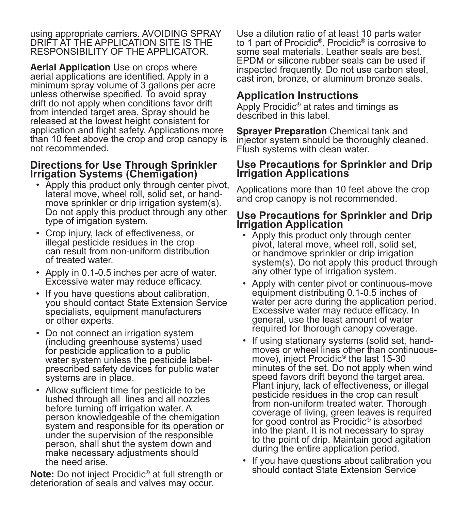using appropriate carriers. AVOIDING SPRAY DRIFT AT THE APPLICATION SITE IS THE RESPONSIBILITY OF THE APPLICATOR.

**Aerial Application** Use on crops where aerial applications are identified. Apply in a minimum spray volume of 3 gallons per acre unless otherwise specified. To avoid spray drift do not apply when conditions favor drift from intended target area. Spray should be released at the lowest height consistent for application and flight safety. Applications more than 10 feet above the crop and crop canopy is not recommended.

#### **Directions for Use Through Sprinkler Irrigation Systems (Chemigation)**

- Apply this product only through center pivot, lateral move, wheel roll, solid set, or handmove sprinkler or drip irrigation system(s). Do not apply this product through any other type of irrigation system.
- Crop injury, lack of effectiveness, or illegal pesticide residues in the crop can result from non-uniform distribution of treated water.
- Apply in 0.1-0.5 inches per acre of water. Excessive water may reduce efficacy.
- If you have questions about calibration, you should contact State Extension Service specialists, equipment manufacturers or other experts.
- Do not connect an irrigation system (including greenhouse systems) used for pesticide application to a public water system unless the pesticide labelprescribed safety devices for public water systems are in place.
- Allow sufficient time for pesticide to be lushed through all lines and all nozzles before turning off irrigation water. A person knowledgeable of the chemigation system and responsible for its operation or under the supervision of the responsible person, shall shut the system down and make necessary adjustments should the need arise.

**Note:** Do not inject Procidic® at full strength or deterioration of seals and valves may occur.

Use a dilution ratio of at least 10 parts water to 1 part of Procidic®. Procidic® is corrosive to some seal materials. Leather seals are best. EPDM or silicone rubber seals can be used if inspected frequently. Do not use carbon steel, cast iron, bronze, or aluminum bronze seals.

### **Application Instructions**

Apply Procidic® at rates and timings as described in this label.

**Sprayer Preparation** Chemical tank and injector system should be thoroughly cleaned. Flush systems with clean water.

#### **Use Precautions for Sprinkler and Drip Irrigation Applications**

Applications more than 10 feet above the crop and crop canopy is not recommended.

#### **Use Precautions for Sprinkler and Drip Irrigation Application**

- Apply this product only through center pivot, lateral move, wheel roll, solid set, or handmove sprinkler or drip irrigation system(s). Do not apply this product through any other type of irrigation system.
- Apply with center pivot or continuous-move equipment distributing 0.1-0.5 inches of water per acre during the application period. Excessive water may reduce efficacy. In general, use the least amount of water required for thorough canopy coverage.
- If using stationary systems (solid set, handmoves or wheel lines other than continuousmove), inject Procidic® the last 15-30 minutes of the set. Do not apply when wind speed favors drift beyond the target area. Plant injury, lack of effectiveness, or illegal pesticide residues in the crop can result from non-uniform treated water. Thorough coverage of living, green leaves is required for good control as Procidic<sup>®</sup> is absorbed into the plant. It is not necessary to spray to the point of drip. Maintain good agitation during the entire application period.
- If you have questions about calibration you should contact State Extension Service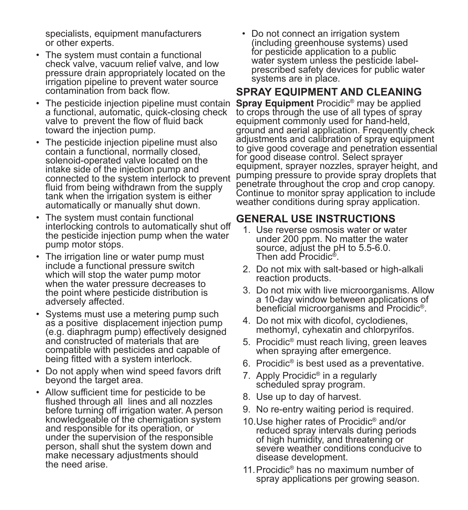specialists, equipment manufacturers or other experts.

- The system must contain a functional check valve, vacuum relief valve, and low pressure drain appropriately located on the irrigation pipeline to prevent water source contamination from back flow.
- The pesticide injection pipeline must contain a functional, automatic, quick-closing check valve to prevent the flow of fluid back toward the injection pump.
- The pesticide injection pipeline must also contain a functional, normally closed, solenoid-operated valve located on the intake side of the injection pump and connected to the system interlock to prevent fluid from being withdrawn from the supply tank when the irrigation system is either automatically or manually shut down.
- The system must contain functional interlocking controls to automatically shut off the pesticide injection pump when the water pump motor stops.
- The irrigation line or water pump must include a functional pressure switch which will stop the water pump motor when the water pressure decreases to the point where pesticide distribution is adversely affected.
- Systems must use a metering pump such as a positive displacement injection pump (e.g. diaphragm pump) effectively designed and constructed of materials that are compatible with pesticides and capable of being fitted with a system interlock.
- Do not apply when wind speed favors drift beyond the target area.
- Allow sufficient time for pesticide to be flushed through all lines and all nozzles before turning off irrigation water. A person knowledgeable of the chemigation system and responsible for its operation, or under the supervision of the responsible person, shall shut the system down and make necessary adjustments should the need arise.

• Do not connect an irrigation system (including greenhouse systems) used for pesticide application to a public water system unless the pesticide labelprescribed safety devices for public water systems are in place.

#### **SPRAY EQUIPMENT AND CLEANING**

**Spray Equipment** Procidic<sup>®</sup> may be applied to crops through the use of all types of spray equipment commonly used for hand-held, ground and aerial application. Frequently check adjustments and calibration of spray equipment to give good coverage and penetration essential for good disease control. Select sprayer equipment, sprayer nozzles, sprayer height, and pumping pressure to provide spray droplets that penetrate throughout the crop and crop canopy. Continue to monitor spray application to include weather conditions during spray application.

#### **GENERAL USE INSTRUCTIONS**

- 1. Use reverse osmosis water or water under 200 ppm. No matter the water source, adjust the pH to 5.5-6.0. Then add Procidic®.
- 2. Do not mix with salt-based or high-alkali reaction products.
- 3. Do not mix with live microorganisms. Allow a 10-day window between applications of beneficial microorganisms and Procidic®.
- 4. Do not mix with dicofol, cyclodienes, methomyl, cyhexatin and chlorpyrifos.
- 5. Procidic® must reach living, green leaves when spraying after emergence.
- 6. Procidic® is best used as a preventative.
- 7. Apply Procidic® in a regularly scheduled spray program.
- 8. Use up to day of harvest.
- 9. No re-entry waiting period is required.
- 10.Use higher rates of Procidic® and/or reduced spray intervals during periods of high humidity, and threatening or severe weather conditions conducive to disease development.
- 11.Procidic® has no maximum number of spray applications per growing season.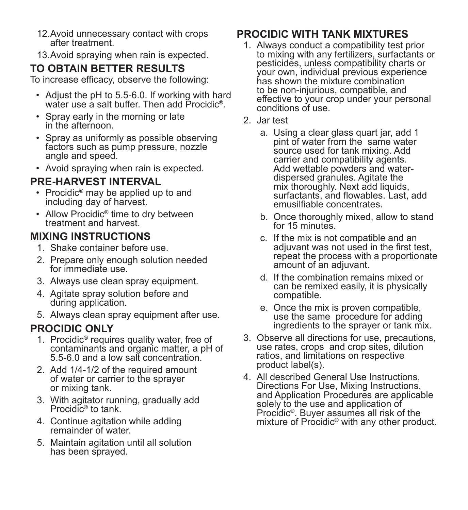- 12.Avoid unnecessary contact with crops after treatment.
- 13.Avoid spraying when rain is expected.

### **TO OBTAIN BETTER RESULTS**

To increase efficacy, observe the following:

- Adjust the pH to 5.5-6.0. If working with hard water use a salt buffer. Then add Procidic<sup>®</sup>.
- Spray early in the morning or late in the afternoon.
- Spray as uniformly as possible observing factors such as pump pressure, nozzle angle and speed.
- Avoid spraying when rain is expected.

### **PRE-HARVEST INTERVAL**

- Procidic<sup>®</sup> may be applied up to and including day of harvest.
- Allow Procidic<sup>®</sup> time to dry between treatment and harvest.

### **MIXING INSTRUCTIONS**

- 1. Shake container before use.
- 2. Prepare only enough solution needed for immediate use.
- 3. Always use clean spray equipment.
- 4. Agitate spray solution before and during application.
- 5. Always clean spray equipment after use.

### **PROCIDIC ONLY**

- 1. Procidic® requires quality water, free of contaminants and organic matter, a pH of 5.5-6.0 and a low salt concentration.
- 2. Add 1/4-1/2 of the required amount of water or carrier to the sprayer or mixing tank.
- 3. With agitator running, gradually add Procidic® to tank.
- 4. Continue agitation while adding remainder of water.
- 5. Maintain agitation until all solution has been sprayed.

### **PROCIDIC WITH TANK MIXTURES**

- 1. Always conduct a compatibility test prior to mixing with any fertilizers, surfactants or pesticides, unless compatibility charts or your own, individual previous experience has shown the mixture combination to be non-injurious, compatible, and effective to your crop under your personal conditions of use.
- 2. Jar test
	- a. Using a clear glass quart jar, add 1 pint of water from the same water source used for tank mixing. Add carrier and compatibility agents. Add wettable powders and waterdispersed granules. Agitate the mix thoroughly. Next add liquids, surfactants, and flowables. Last, add emusilfiable concentrates.
	- b. Once thoroughly mixed, allow to stand for 15 minutes.
	- c. If the mix is not compatible and an adjuvant was not used in the first test, repeat the process with a proportionate amount of an adjuvant.
	- d. If the combination remains mixed or can be remixed easily, it is physically compatible.
	- e. Once the mix is proven compatible, use the same procedure for adding ingredients to the sprayer or tank mix.
- 3. Observe all directions for use, precautions, use rates, crops and crop sites, dilution ratios, and limitations on respective product label(s).
- 4. All described General Use Instructions, Directions For Use, Mixing Instructions, and Application Procedures are applicable solely to the use and application of Procidic®. Buver assumes all risk of the mixture of Procidic<sup>®</sup> with any other product.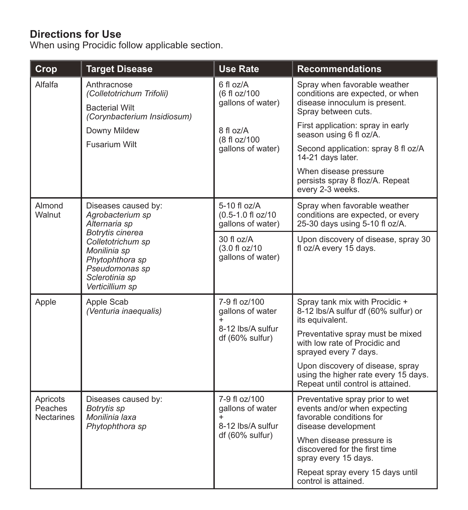### **Directions for Use**

When using Procidic follow applicable section.

| Crop                                     | <b>Target Disease</b>                                                                                                           | <b>Use Rate</b>                                                                            | <b>Recommendations</b>                                                                                                   |
|------------------------------------------|---------------------------------------------------------------------------------------------------------------------------------|--------------------------------------------------------------------------------------------|--------------------------------------------------------------------------------------------------------------------------|
| Alfalfa                                  | Anthracnose<br>(Colletotrichum Trifolii)<br><b>Bacterial Wilt</b><br>(Corynbacterium Insidiosum)                                | $6f$ l oz/A<br>(6 fl oz/100<br>gallons of water)                                           | Spray when favorable weather<br>conditions are expected, or when<br>disease innoculum is present.<br>Spray between cuts. |
|                                          | Downy Mildew                                                                                                                    | 8 fl oz/A<br>(8 fl oz/100                                                                  | First application: spray in early<br>season using 6 fl oz/A.                                                             |
|                                          | Fusarium Wilt                                                                                                                   | gallons of water)                                                                          | Second application: spray 8 fl oz/A<br>14-21 days later.                                                                 |
|                                          |                                                                                                                                 |                                                                                            | When disease pressure<br>persists spray 8 floz/A. Repeat<br>every 2-3 weeks.                                             |
| Almond<br>Walnut                         | Diseases caused by:<br>Agrobacterium sp<br>Alternaria sp                                                                        | 5-10 fl oz/A<br>(0.5-1.0 fl oz/10<br>qallons of water)                                     | Spray when favorable weather<br>conditions are expected, or every<br>25-30 days using 5-10 fl oz/A.                      |
|                                          | Botrytis cinerea<br>Colletotrichum sp<br>Monilinia sp<br>Phytophthora sp<br>Pseudomonas sp<br>Sclerotinia sp<br>Verticillium sp | $30f$ loz/A<br>(3.0 fl oz/10<br>gallons of water)                                          | Upon discovery of disease, spray 30<br>fl oz/A every 15 days.                                                            |
| Apple                                    | 7-9 fl oz/100<br>Apple Scab<br>(Venturia inaequalis)<br>gallons of water<br>8-12 lbs/A sulfur<br>df (60% sulfur)                |                                                                                            | Spray tank mix with Procidic +<br>8-12 lbs/A sulfur df (60% sulfur) or<br>its equivalent.                                |
|                                          |                                                                                                                                 | Preventative spray must be mixed<br>with low rate of Procidic and<br>sprayed every 7 days. |                                                                                                                          |
|                                          |                                                                                                                                 |                                                                                            | Upon discovery of disease, spray<br>using the higher rate every 15 days.<br>Repeat until control is attained.            |
| Apricots<br>Peaches<br><b>Nectarines</b> | Diseases caused by:<br>Botrytis sp<br>Monilinia laxa<br>Phytophthora sp                                                         | 7-9 fl oz/100<br>gallons of water<br>$\ddot{}$<br>8-12 lbs/A sulfur<br>df (60% sulfur)     | Preventative spray prior to wet<br>events and/or when expecting<br>favorable conditions for<br>disease development       |
|                                          |                                                                                                                                 |                                                                                            | When disease pressure is<br>discovered for the first time<br>spray every 15 days.                                        |
|                                          |                                                                                                                                 |                                                                                            | Repeat spray every 15 days until<br>control is attained.                                                                 |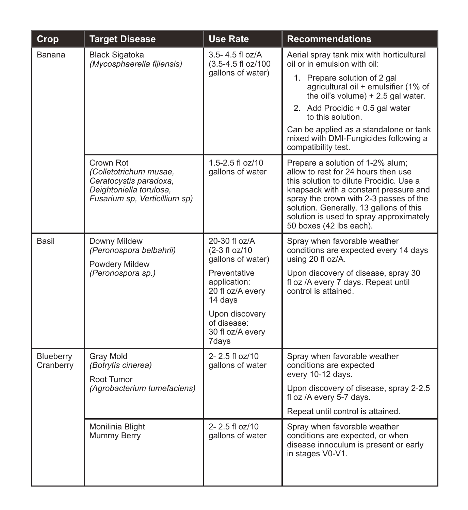| Crop                   | <b>Target Disease</b>                                                                                                     | <b>Use Rate</b>                                                                                                                                                                  | <b>Recommendations</b>                                                                                                                                                                                                                                                                                                                                    |
|------------------------|---------------------------------------------------------------------------------------------------------------------------|----------------------------------------------------------------------------------------------------------------------------------------------------------------------------------|-----------------------------------------------------------------------------------------------------------------------------------------------------------------------------------------------------------------------------------------------------------------------------------------------------------------------------------------------------------|
| Banana                 | <b>Black Sigatoka</b><br>(Mycosphaerella fijiensis)                                                                       | $3.5 - 4.5$ fl oz/A<br>(3.5-4.5 fl oz/100<br>gallons of water)                                                                                                                   | Aerial spray tank mix with horticultural<br>oil or in emulsion with oil:<br>1. Prepare solution of 2 gal<br>agricultural oil + emulsifier (1% of<br>the oil's volume) $+2.5$ gal water.<br>2. Add Procidic + 0.5 gal water<br>to this solution.<br>Can be applied as a standalone or tank<br>mixed with DMI-Fungicides following a<br>compatibility test. |
|                        | Crown Rot<br>(Colletotrichum musae,<br>Ceratocystis paradoxa,<br>Deightoniella torulosa,<br>Fusarium sp, Verticillium sp) | 1.5-2.5 fl oz/10<br>gallons of water                                                                                                                                             | Prepare a solution of 1-2% alum;<br>allow to rest for 24 hours then use<br>this solution to dilute Procidic. Use a<br>knapsack with a constant pressure and<br>spray the crown with 2-3 passes of the<br>solution. Generally, 13 gallons of this<br>solution is used to spray approximately<br>50 boxes (42 lbs each).                                    |
| Basil                  | Downy Mildew<br>(Peronospora belbahrii)<br>Powdery Mildew<br>(Peronospora sp.)                                            | 20-30 fl oz/A<br>(2-3 fl oz/10<br>qallons of water)<br>Preventative<br>application:<br>20 fl oz/A every<br>14 days<br>Upon discovery<br>of disease:<br>30 fl oz/A every<br>7days | Spray when favorable weather<br>conditions are expected every 14 days<br>using 20 fl oz/A.<br>Upon discovery of disease, spray 30<br>fl oz /A every 7 days. Repeat until<br>control is attained.                                                                                                                                                          |
| Blueberry<br>Cranberry | Gray Mold<br>(Botrytis cinerea)<br>Root Tumor<br>(Agrobacterium tumefaciens)                                              | $2 - 2.5$ fl oz/10<br>gallons of water                                                                                                                                           | Spray when favorable weather<br>conditions are expected<br>every 10-12 days.<br>Upon discovery of disease, spray 2-2.5<br>fl oz /A every 5-7 days.<br>Repeat until control is attained.                                                                                                                                                                   |
|                        | Monilinia Blight<br>Mummy Berry                                                                                           | $2 - 2.5$ fl oz/10<br>gallons of water                                                                                                                                           | Spray when favorable weather<br>conditions are expected, or when<br>disease innoculum is present or early<br>in stages V0-V1.                                                                                                                                                                                                                             |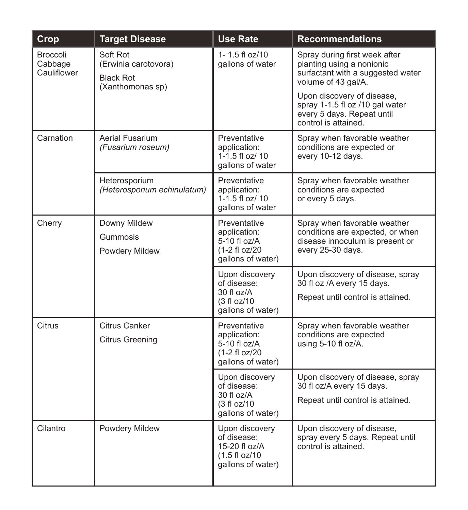| Crop                               | <b>Target Disease</b>                                                    | <b>Use Rate</b>                                                                              | <b>Recommendations</b>                                                                                                   |
|------------------------------------|--------------------------------------------------------------------------|----------------------------------------------------------------------------------------------|--------------------------------------------------------------------------------------------------------------------------|
| Broccoli<br>Cabbage<br>Cauliflower | Soft Rot<br>(Erwinia carotovora)<br><b>Black Rot</b><br>(Xanthomonas sp) | 1-1.5 fl $oz/10$<br>gallons of water                                                         | Spray during first week after<br>planting using a nonionic<br>surfactant with a suggested water<br>volume of 43 gal/A.   |
|                                    |                                                                          |                                                                                              | Upon discovery of disease,<br>spray 1-1.5 fl oz /10 gal water<br>every 5 days. Repeat until<br>control is attained.      |
| Carnation                          | Aerial Fusarium<br>(Fusarium roseum)                                     | Preventative<br>application:<br>1-1.5 fl oz/ 10<br>gallons of water                          | Spray when favorable weather<br>conditions are expected or<br>every 10-12 days.                                          |
|                                    | Heterosporium<br>(Heterosporium echinulatum)                             | Preventative<br>application:<br>$1 - 1.5$ fl oz/ 10<br>gallons of water                      | Spray when favorable weather<br>conditions are expected<br>or every 5 days.                                              |
| Cherry                             | Downy Mildew<br>Gummosis<br>Powdery Mildew                               | Preventative<br>application:<br>5-10 fl oz/A<br>(1-2 fl oz/20)<br>gallons of water)          | Spray when favorable weather<br>conditions are expected, or when<br>disease innoculum is present or<br>every 25-30 days. |
|                                    |                                                                          | Upon discovery<br>of disease:<br>$30f$ l oz/A<br>(3 fl oz/10<br>gallons of water)            | Upon discovery of disease, spray<br>30 fl oz /A every 15 days.<br>Repeat until control is attained.                      |
| Citrus                             | <b>Citrus Canker</b><br><b>Citrus Greening</b>                           | Preventative<br>application:<br>5-10 fl oz/A<br>(1-2 fl oz/20)<br>gallons of water)          | Spray when favorable weather<br>conditions are expected<br>using 5-10 fl oz/A.                                           |
|                                    |                                                                          | Upon discovery<br>of disease:<br>$30f$ l oz/A<br>$(3 \text{ fl oz}/10)$<br>gallons of water) | Upon discovery of disease, spray<br>30 fl oz/A every 15 days.<br>Repeat until control is attained.                       |
| Cilantro                           | <b>Powdery Mildew</b>                                                    | Upon discovery<br>of disease:<br>15-20 fl $oz/A$<br>(1.5 f 1 oz/10<br>qallons of water)      | Upon discovery of disease,<br>spray every 5 days. Repeat until<br>control is attained.                                   |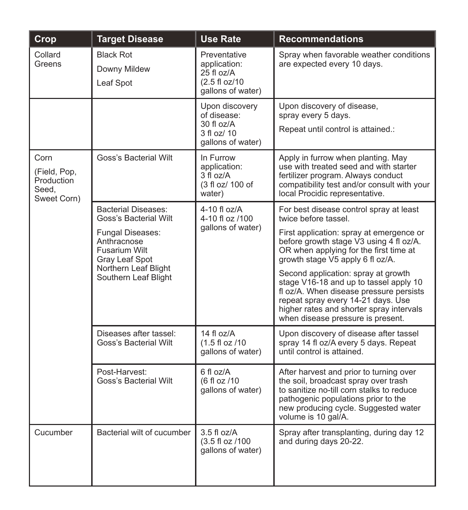| Crop                                                       | <b>Target Disease</b>                                                                                                     | <b>Use Rate</b>                                                                   | <b>Recommendations</b>                                                                                                                                                                                                                          |
|------------------------------------------------------------|---------------------------------------------------------------------------------------------------------------------------|-----------------------------------------------------------------------------------|-------------------------------------------------------------------------------------------------------------------------------------------------------------------------------------------------------------------------------------------------|
| Collard<br>Greens                                          | <b>Black Rot</b><br>Downy Mildew<br>Leaf Spot                                                                             | Preventative<br>application:<br>25 fl oz/A<br>(2.5 fl oz/10)<br>qallons of water) | Spray when favorable weather conditions<br>are expected every 10 days.                                                                                                                                                                          |
|                                                            |                                                                                                                           | Upon discovery<br>of disease:<br>$30f$ l oz/A<br>3 fl oz/ 10<br>qallons of water) | Upon discovery of disease,<br>spray every 5 days.<br>Repeat until control is attained.:                                                                                                                                                         |
| Corn<br>(Field, Pop,<br>Production<br>Seed.<br>Sweet Corn) | Goss's Bacterial Wilt                                                                                                     | In Furrow<br>application:<br>3 fl oz/A<br>(3 fl oz/ 100 of<br>water)              | Apply in furrow when planting. May<br>use with treated seed and with starter<br>fertilizer program. Always conduct<br>compatibility test and/or consult with your<br>local Procidic representative.                                             |
|                                                            | <b>Bacterial Diseases:</b><br>Goss's Bacterial Wilt                                                                       | 4-10 fl $oz/A$<br>4-10 fl oz /100                                                 | For best disease control spray at least<br>twice before tassel.                                                                                                                                                                                 |
|                                                            | <b>Fungal Diseases:</b><br>Anthracnose<br>Fusarium Wilt<br>Gray Leaf Spot<br>Northern Leaf Blight<br>Southern Leaf Blight | gallons of water)                                                                 | First application: spray at emergence or<br>before growth stage V3 using 4 fl oz/A.<br>OR when applying for the first time at<br>growth stage V5 apply 6 fl oz/A.                                                                               |
|                                                            |                                                                                                                           |                                                                                   | Second application: spray at growth<br>stage V16-18 and up to tassel apply 10<br>fl oz/A. When disease pressure persists<br>repeat spray every 14-21 days. Use<br>higher rates and shorter spray intervals<br>when disease pressure is present. |
|                                                            | Diseases after tassel:<br>Goss's Bacterial Wilt                                                                           | 14 fl $oz/A$<br>(1.5 fl oz /10<br>gallons of water)                               | Upon discovery of disease after tassel<br>spray 14 fl oz/A every 5 days. Repeat<br>until control is attained.                                                                                                                                   |
|                                                            | Post-Harvest:<br>Goss's Bacterial Wilt                                                                                    | 6flog/A<br>(6 fl oz /10<br>gallons of water)                                      | After harvest and prior to turning over<br>the soil, broadcast spray over trash<br>to sanitize no-till corn stalks to reduce<br>pathogenic populations prior to the<br>new producing cycle. Suggested water<br>volume is 10 gal/A.              |
| Cucumber                                                   | Bacterial wilt of cucumber                                                                                                | $3.5f$ loz/A<br>(3.5 fl oz /100<br>qallons of water)                              | Spray after transplanting, during day 12<br>and during days 20-22.                                                                                                                                                                              |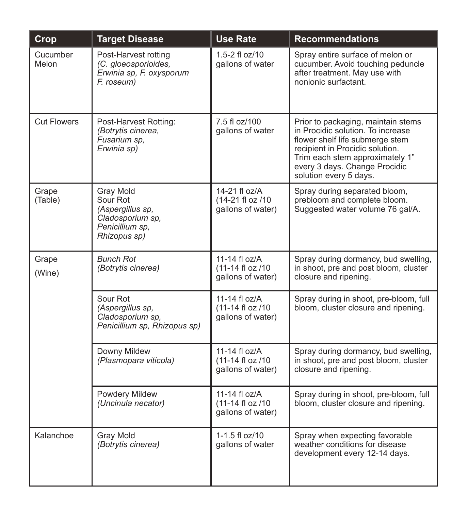| Crop              | <b>Target Disease</b>                                                                            | <b>Use Rate</b>                                          | <b>Recommendations</b>                                                                                                                                                                                                                      |
|-------------------|--------------------------------------------------------------------------------------------------|----------------------------------------------------------|---------------------------------------------------------------------------------------------------------------------------------------------------------------------------------------------------------------------------------------------|
| Cucumber<br>Melon | Post-Harvest rotting<br>(C. gloeosporioides,<br>Erwinia sp. F. oxysporum<br>F. roseum)           | $1.5 - 2$ fl oz/10<br>gallons of water                   | Spray entire surface of melon or<br>cucumber. Avoid touching peduncle<br>after treatment. May use with<br>nonionic surfactant.                                                                                                              |
| Cut Flowers       | Post-Harvest Rotting:<br>(Botrytis cinerea,<br>Fusarium sp,<br>Erwinia sp)                       | 7.5 fl oz/100<br>gallons of water                        | Prior to packaging, maintain stems<br>in Procidic solution. To increase<br>flower shelf life submerge stem<br>recipient in Procidic solution.<br>Trim each stem approximately 1"<br>every 3 days. Change Procidic<br>solution every 5 days. |
| Grape<br>(Table)  | Gray Mold<br>Sour Rot<br>(Aspergillus sp.<br>Cladosporium sp.<br>Penicillium sp,<br>Rhizopus sp) | 14-21 fl oz/A<br>(14-21 fl oz /10)<br>qallons of water)  | Spray during separated bloom,<br>prebloom and complete bloom.<br>Suggested water volume 76 gal/A.                                                                                                                                           |
| Grape<br>(Wine)   | <b>Bunch Rot</b><br>(Botrytis cinerea)                                                           | 11-14 fl oz/A<br>(11-14 fl oz /10)<br>gallons of water)  | Spray during dormancy, bud swelling,<br>in shoot, pre and post bloom, cluster<br>closure and ripening.                                                                                                                                      |
|                   | Sour Rot<br>(Aspergillus sp.<br>Cladosporium sp.<br>Penicillium sp. Rhizopus sp)                 | 11-14 fl oz/A<br>(11-14 fl oz /10)<br>gallons of water)  | Spray during in shoot, pre-bloom, full<br>bloom, cluster closure and ripening.                                                                                                                                                              |
|                   | Downy Mildew<br>(Plasmopara viticola)                                                            | 11-14 fl $oz/A$<br>(11-14 fl oz /10<br>qallons of water) | Spray during dormancy, bud swelling,<br>in shoot, pre and post bloom, cluster<br>closure and ripening.                                                                                                                                      |
|                   | Powdery Mildew<br>(Uncinula necator)                                                             | 11-14 fl $oz/A$<br>(11-14 fl oz /10<br>gallons of water) | Spray during in shoot, pre-bloom, full<br>bloom, cluster closure and ripening.                                                                                                                                                              |
| Kalanchoe         | <b>Gray Mold</b><br>(Botrytis cinerea)                                                           | 1-1.5 fl oz/10<br>gallons of water                       | Spray when expecting favorable<br>weather conditions for disease<br>development every 12-14 days.                                                                                                                                           |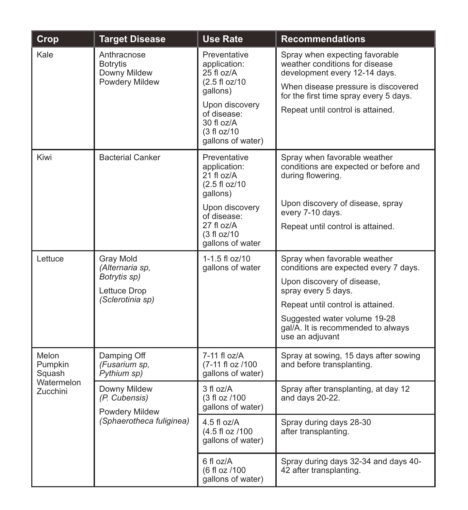| Crop                                     | <b>Target Disease</b>                                            | <b>Use Rate</b>                                                                     | <b>Recommendations</b>                                                                                                                                                             |
|------------------------------------------|------------------------------------------------------------------|-------------------------------------------------------------------------------------|------------------------------------------------------------------------------------------------------------------------------------------------------------------------------------|
| Kale                                     | Anthracnose<br><b>Botrytis</b><br>Downy Mildew<br>Powdery Mildew | Preventative<br>application:<br>$25$ fl oz/A<br>(2.5 fl oz/10)<br>gallons)          | Spray when expecting favorable<br>weather conditions for disease<br>development every 12-14 days.<br>When disease pressure is discovered<br>for the first time spray every 5 days. |
|                                          |                                                                  | Upon discovery<br>of disease:<br>$30f$ l $oz/A$<br>(3 fl oz/10<br>qallons of water) | Repeat until control is attained.                                                                                                                                                  |
| Kiwi                                     | <b>Bacterial Canker</b>                                          | Preventative<br>application:<br>21 fl oz/A<br>(2.5 fl oz/10)<br>gallons)            | Spray when favorable weather<br>conditions are expected or before and<br>during flowering.                                                                                         |
|                                          |                                                                  | Upon discovery<br>of disease:<br>27 fl oz/A<br>(3 fl oz/10<br>gallons of water      | Upon discovery of disease, spray<br>every 7-10 days.<br>Repeat until control is attained.                                                                                          |
| Lettuce                                  | Gray Mold<br>(Alternaria sp.                                     | $1 - 1.5$ fl oz/10<br>gallons of water                                              | Spray when favorable weather<br>conditions are expected every 7 days.                                                                                                              |
|                                          | Botrytis sp)<br>Lettuce Drop<br>(Sclerotinia sp)                 |                                                                                     | Upon discovery of disease,<br>spray every 5 days.                                                                                                                                  |
|                                          |                                                                  |                                                                                     | Repeat until control is attained.                                                                                                                                                  |
|                                          |                                                                  |                                                                                     | Suggested water volume 19-28<br>gal/A. It is recommended to always<br>use an adjuvant                                                                                              |
| Melon<br>Pumpkin<br>Squash<br>Watermelon | Damping Off<br>(Fusarium sp.<br>Pythium sp)                      | 7-11 fl oz/A<br>(7-11 fl oz /100)<br>gallons of water)                              | Spray at sowing, 15 days after sowing<br>and before transplanting.                                                                                                                 |
| Zucchini                                 | Downy Mildew<br>(P. Cubensis)<br>Powdery Mildew                  | 3 fl oz/A<br>(3 fl oz /100<br>gallons of water)                                     | Spray after transplanting, at day 12<br>and days 20-22.                                                                                                                            |
|                                          | (Sphaerotheca fuliginea)                                         | $4.5f$ loz/A<br>(4.5 fl oz /100<br>gallons of water)                                | Spray during days 28-30<br>after transplanting.                                                                                                                                    |
|                                          |                                                                  | 6 fl oz/A<br>(6 fl oz /100<br>gallons of water)                                     | Spray during days 32-34 and days 40-<br>42 after transplanting.                                                                                                                    |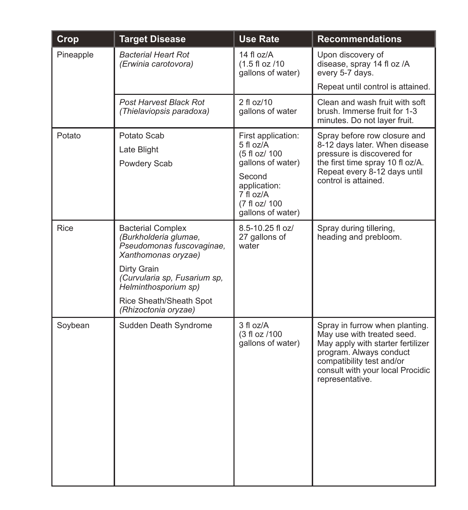| Crop      | <b>Target Disease</b>                                                                                                                                                                                                           | <b>Use Rate</b>                                                                                                                                    | <b>Recommendations</b>                                                                                                                                                                                           |
|-----------|---------------------------------------------------------------------------------------------------------------------------------------------------------------------------------------------------------------------------------|----------------------------------------------------------------------------------------------------------------------------------------------------|------------------------------------------------------------------------------------------------------------------------------------------------------------------------------------------------------------------|
| Pineapple | <b>Bacterial Heart Rot</b><br>(Erwinia carotovora)                                                                                                                                                                              | 14 fl oz/A<br>$(1.5 \text{ fl oz } / 10$<br>gallons of water)                                                                                      | Upon discovery of<br>disease, spray 14 fl oz /A<br>every 5-7 days.                                                                                                                                               |
|           |                                                                                                                                                                                                                                 |                                                                                                                                                    | Repeat until control is attained.                                                                                                                                                                                |
|           | <b>Post Harvest Black Rot</b><br>(Thielaviopsis paradoxa)                                                                                                                                                                       | $2$ fl oz/10<br>gallons of water                                                                                                                   | Clean and wash fruit with soft<br>brush. Immerse fruit for 1-3<br>minutes. Do not layer fruit.                                                                                                                   |
| Potato    | Potato Scab<br>Late Blight<br>Powdery Scab                                                                                                                                                                                      | First application:<br>5 fl oz/A<br>(5 fl oz/ 100<br>qallons of water)<br>Second<br>application:<br>7 fl oz/A<br>(7 fl oz/ 100<br>gallons of water) | Spray before row closure and<br>8-12 days later. When disease<br>pressure is discovered for<br>the first time spray 10 fl oz/A.<br>Repeat every 8-12 days until<br>control is attained.                          |
| Rice      | <b>Bacterial Complex</b><br>(Burkholderia glumae,<br>Pseudomonas fuscovaginae.<br>Xanthomonas oryzae)<br>Dirty Grain<br>(Curvularia sp, Fusarium sp,<br>Helminthosporium sp)<br>Rice Sheath/Sheath Spot<br>(Rhizoctonia oryzae) | 8.5-10.25 fl oz/<br>27 gallons of<br>water                                                                                                         | Spray during tillering,<br>heading and prebloom.                                                                                                                                                                 |
| Soybean   | Sudden Death Syndrome                                                                                                                                                                                                           | 3 fl oz/A<br>(3 fl oz /100<br>qallons of water)                                                                                                    | Spray in furrow when planting.<br>May use with treated seed.<br>May apply with starter fertilizer<br>program. Always conduct<br>compatibility test and/or<br>consult with your local Procidic<br>representative. |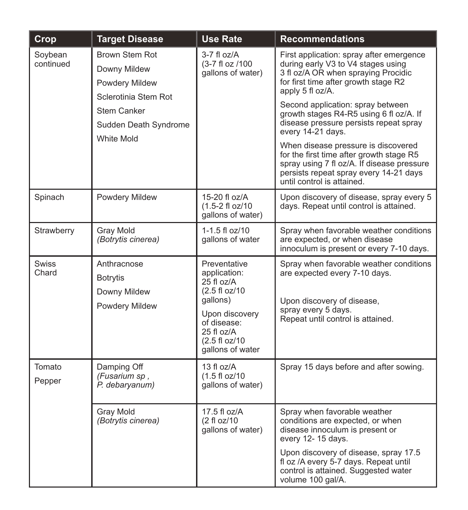| Crop                                                                     | <b>Target Disease</b>                                            | <b>Use Rate</b>                                                                                                                                                 | <b>Recommendations</b>                                                                                                                                                                                |
|--------------------------------------------------------------------------|------------------------------------------------------------------|-----------------------------------------------------------------------------------------------------------------------------------------------------------------|-------------------------------------------------------------------------------------------------------------------------------------------------------------------------------------------------------|
| Brown Stem Rot<br>Soybean<br>continued<br>Downy Mildew<br>Powdery Mildew | Sclerotinia Stem Rot                                             | $3-7$ fl oz/A<br>(3-7 fl oz /100<br>qallons of water)                                                                                                           | First application: spray after emergence<br>during early V3 to V4 stages using<br>3 fl oz/A OR when spraying Procidic<br>for first time after growth stage R2<br>apply 5 fl oz/A.                     |
|                                                                          | <b>Stem Canker</b><br>Sudden Death Syndrome<br><b>White Mold</b> |                                                                                                                                                                 | Second application: spray between<br>growth stages R4-R5 using 6 fl oz/A. If<br>disease pressure persists repeat spray<br>every 14-21 days.                                                           |
|                                                                          |                                                                  |                                                                                                                                                                 | When disease pressure is discovered<br>for the first time after growth stage R5<br>spray using 7 fl oz/A. If disease pressure<br>persists repeat spray every 14-21 days<br>until control is attained. |
| Spinach                                                                  | Powdery Mildew                                                   | $15-20$ fl oz/A<br>(1.5-2 fl oz/10)<br>gallons of water)                                                                                                        | Upon discovery of disease, spray every 5<br>days. Repeat until control is attained.                                                                                                                   |
| Strawberry                                                               | Gray Mold<br>(Botrytis cinerea)                                  | $1 - 1.5$ fl oz/10<br>gallons of water                                                                                                                          | Spray when favorable weather conditions<br>are expected, or when disease<br>innoculum is present or every 7-10 days.                                                                                  |
| <b>Swiss</b><br>Chard                                                    | Anthracnose<br>Botrytis<br>Downy Mildew<br>Powdery Mildew        | Preventative<br>application:<br>$25$ fl oz/A<br>(2.5 fl oz/10<br>gallons)<br>Upon discovery<br>of disease:<br>$25f$ l oz/A<br>(2.5 fl oz/10<br>gallons of water | Spray when favorable weather conditions<br>are expected every 7-10 days.<br>Upon discovery of disease,<br>spray every 5 days.<br>Repeat until control is attained.                                    |
| Tomato<br>Pepper                                                         | Damping Off<br>(Fusarium sp.<br>P. debaryanum)                   | 13 fl $oz/A$<br>(1.5 fl oz/10<br>gallons of water)                                                                                                              | Spray 15 days before and after sowing.                                                                                                                                                                |
|                                                                          | Gray Mold<br>(Botrytis cinerea)                                  | 17.5 fl oz/A<br>(2 fl oz/10<br>qallons of water)                                                                                                                | Spray when favorable weather<br>conditions are expected, or when<br>disease innoculum is present or<br>every 12-15 days.                                                                              |
|                                                                          |                                                                  |                                                                                                                                                                 | Upon discovery of disease, spray 17.5<br>fl oz /A every 5-7 days. Repeat until<br>control is attained. Suggested water<br>volume 100 gal/A.                                                           |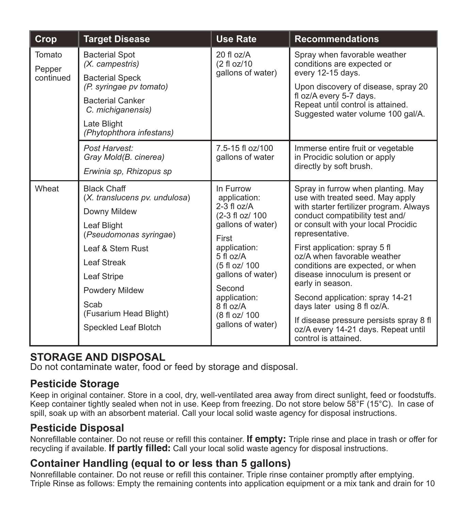| Crop                          | <b>Target Disease</b>                                                                                                                                                                                                                             | <b>Use Rate</b>                                                                                                                                                                                                                                 | <b>Recommendations</b>                                                                                                                                                                                                                                                                                                                                                                                                                                                                                                                                |
|-------------------------------|---------------------------------------------------------------------------------------------------------------------------------------------------------------------------------------------------------------------------------------------------|-------------------------------------------------------------------------------------------------------------------------------------------------------------------------------------------------------------------------------------------------|-------------------------------------------------------------------------------------------------------------------------------------------------------------------------------------------------------------------------------------------------------------------------------------------------------------------------------------------------------------------------------------------------------------------------------------------------------------------------------------------------------------------------------------------------------|
| Tomato<br>Pepper<br>continued | <b>Bacterial Spot</b><br>(X. campestris)<br><b>Bacterial Speck</b><br>(P. syringae pv tomato)<br><b>Bacterial Canker</b><br>C. michiganensis)<br>Late Blight<br>(Phytophthora infestans)                                                          | $20$ fl $oz/A$<br>(2 fl oz/10<br>qallons of water)                                                                                                                                                                                              | Spray when favorable weather<br>conditions are expected or<br>every 12-15 days.<br>Upon discovery of disease, spray 20<br>fl oz/A every 5-7 days.<br>Repeat until control is attained.<br>Suggested water volume 100 gal/A.                                                                                                                                                                                                                                                                                                                           |
|                               | Post Harvest:<br>Gray Mold(B. cinerea)<br>Erwinia sp. Rhizopus sp                                                                                                                                                                                 | 7.5-15 fl oz/100<br>gallons of water                                                                                                                                                                                                            | Immerse entire fruit or vegetable<br>in Procidic solution or apply<br>directly by soft brush.                                                                                                                                                                                                                                                                                                                                                                                                                                                         |
| Wheat                         | <b>Black Chaff</b><br>(X. translucens pv. undulosa)<br>Downy Mildew<br>Leaf Blight<br>(Pseudomonas syringae)<br>Leaf & Stem Rust<br>Leaf Streak<br>Leaf Stripe<br><b>Powdery Mildew</b><br>Scab<br>(Fusarium Head Blight)<br>Speckled Leaf Blotch | In Furrow<br>application:<br>$2-3$ fl $oz/A$<br>(2-3 fl oz/ 100<br>gallons of water)<br>First<br>application:<br>$5f$ l oz/A<br>(5 fl oz/ 100<br>qallons of water)<br>Second<br>application:<br>8 fl oz/A<br>(8 fl oz/ 100<br>qallons of water) | Spray in furrow when planting. May<br>use with treated seed. May apply<br>with starter fertilizer program. Always<br>conduct compatibility test and/<br>or consult with your local Procidic<br>representative.<br>First application: spray 5 fl<br>oz/A when favorable weather<br>conditions are expected, or when<br>disease innoculum is present or<br>early in season.<br>Second application: spray 14-21<br>days later using 8 fl oz/A.<br>If disease pressure persists spray 8 fl<br>oz/A every 14-21 days. Repeat until<br>control is attained. |

#### **STORAGE AND DISPOSAL**

Do not contaminate water, food or feed by storage and disposal.

#### **Pesticide Storage**

Keep in original container. Store in a cool, dry, well-ventilated area away from direct sunlight, feed or foodstuffs. Keep container tightly sealed when not in use. Keep from freezing. Do not store below 58°F (15°C). In case of spill, soak up with an absorbent material. Call your local solid waste agency for disposal instructions.

### **Pesticide Disposal**

Nonrefillable container. Do not reuse or refill this container. **If empty:** Triple rinse and place in trash or offer for recycling if available. **If partly filled:** Call your local solid waste agency for disposal instructions.

### **Container Handling (equal to or less than 5 gallons)**

Nonrefillable container. Do not reuse or refill this container. Triple rinse container promptly after emptying. Triple Rinse as follows: Empty the remaining contents into application equipment or a mix tank and drain for 10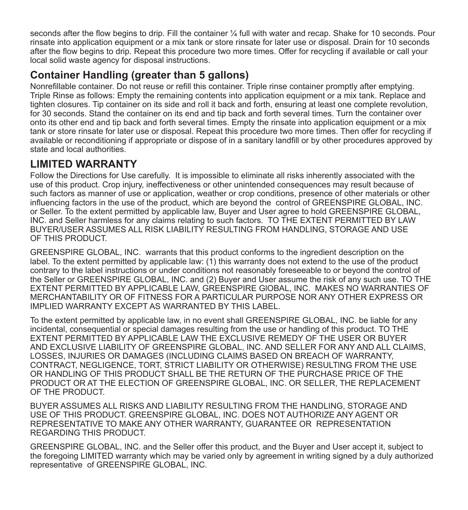seconds after the flow begins to drip. Fill the container ¼ full with water and recap. Shake for 10 seconds. Pour rinsate into application equipment or a mix tank or store rinsate for later use or disposal. Drain for 10 seconds after the flow begins to drip. Repeat this procedure two more times. Offer for recycling if available or call your local solid waste agency for disposal instructions.

### **Container Handling (greater than 5 gallons)**

Nonrefillable container. Do not reuse or refill this container. Triple rinse container promptly after emptying. Triple Rinse as follows: Empty the remaining contents into application equipment or a mix tank. Replace and tighten closures. Tip container on its side and roll it back and forth, ensuring at least one complete revolution, for 30 seconds. Stand the container on its end and tip back and forth several times. Turn the container over onto its other end and tip back and forth several times. Empty the rinsate into application equipment or a mix tank or store rinsate for later use or disposal. Repeat this procedure two more times. Then offer for recycling if available or reconditioning if appropriate or dispose of in a sanitary landfill or by other procedures approved by state and local authorities.

### **LIMITED WARRANTY**

Follow the Directions for Use carefully. It is impossible to eliminate all risks inherently associated with the use of this product. Crop injury, ineffectiveness or other unintended consequences may result because of such factors as manner of use or application, weather or crop conditions, presence of other materials or other influencing factors in the use of the product, which are beyond the control of GREENSPIRE GLOBAL, INC. or Seller. To the extent permitted by applicable law, Buyer and User agree to hold GREENSPIRE GLOBAL, INC. and Seller harmless for any claims relating to such factors. TO THE EXTENT PERMITTED BY LAW BUYER/USER ASSUMES ALL RISK LIABILITY RESULTING FROM HANDLING, STORAGE AND USE OF THIS PRODUCT.

GREENSPIRE GLOBAL, INC. warrants that this product conforms to the ingredient description on the label. To the extent permitted by applicable law:  $(1)$  this warranty does not extend to the use of the product contrary to the label instructions or under conditions not reasonably foreseeable to or beyond the control of the Seller or GREENSPIRE GLOBAL, INC. and (2) Buyer and User assume the risk of any such use. TO THE EXTENT PERMITTED BY APPLICABLE LAW, GREENSPIRE GlOBAL, INC. MAKES NO WARRANTlES OF MERCHANTABILITY OR OF FITNESS FOR A PARTICULAR PURPOSE NOR ANY OTHER EXPRESS OR IMPLIED WARRANTY EXCEPT AS WARRANTED BY THIS LABEL.

To the extent permitted by applicable law, in no event shall GREENSPIRE GLOBAL, INC. be liable for any incidental, consequential or special damages resulting from the use or handling of this product. TO THE EXTENT PERMITTED BY APPLICABLE LAW THE EXCLUSIVE REMEDY OF THE USER OR BUYER AND EXCLUSIVE LIABILITY OF GREENSPIRE GLOBAL, INC. AND SELLER FOR ANY AND ALL CLAIMS, LOSSES, INJURIES OR DAMAGES (INCLUDING CLAIMS BASED ON BREACH OF WARRANTY, CONTRACT, NEGLIGENCE, TORT, STRICT LIABILITY OR OTHERWISE) RESULTlNG FROM THE USE OR HANDLING OF THIS PRODUCT SHALL BE THE RETURN OF THE PURCHASE PRICE OF THE PRODUCT OR AT THE ELECTION OF GREENSPIRE GLOBAL, INC. OR SELLER, THE REPLACEMENT OF THE PRODUCT.

BUYER ASSUMES ALL RISKS AND LIABILITY RESULTING FROM THE HANDLING, STORAGE AND USE OF THIS PRODUCT. GREENSPIRE GLOBAL, INC. DOES NOT AUTHORIZE ANY AGENT OR REPRESENTATIVE TO MAKE ANY OTHER WARRANTY, GUARANTEE OR REPRESENTATION REGARDING THIS PRODUCT.

GREENSPIRE GLOBAL, INC. and the Seller offer this product, and the Buyer and User accept it, subject to the foregoing LIMITED warranty which may be varied only by agreement in writing signed by a duly authorized representative of GREENSPIRE GLOBAL, INC.